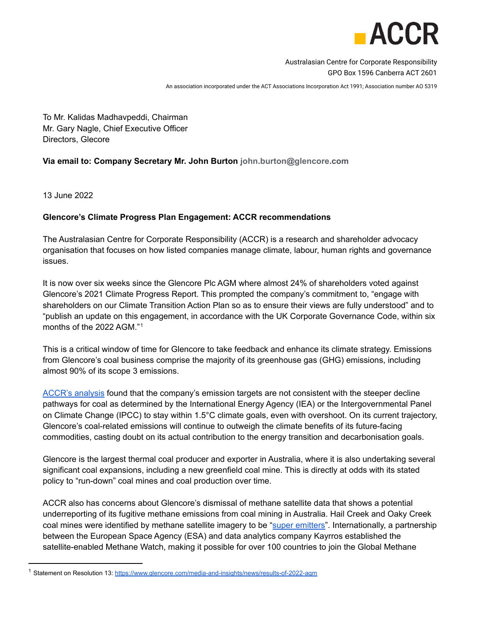

Australasian Centre for Corporate Responsibility GPO Box 1596 Canberra ACT 2601

An association incorporated under the ACT Associations Incorporation Act 1991; Association number AO 5319

To Mr. Kalidas Madhavpeddi, Chairman Mr. Gary Nagle, Chief Executive Officer Directors, Glecore

## **Via email to: Company Secretary Mr. John Burton john.burton@glencore.com**

13 June 2022

## **Glencore's Climate Progress Plan Engagement: ACCR recommendations**

The Australasian Centre for Corporate Responsibility (ACCR) is a research and shareholder advocacy organisation that focuses on how listed companies manage climate, labour, human rights and governance issues.

It is now over six weeks since the Glencore Plc AGM where almost 24% of shareholders voted against Glencore's 2021 Climate Progress Report. This prompted the company's commitment to, "engage with shareholders on our Climate Transition Action Plan so as to ensure their views are fully understood" and to "publish an update on this engagement, in accordance with the UK Corporate Governance Code, within six months of the 2022 AGM."<sup>1</sup>

This is a critical window of time for Glencore to take feedback and enhance its climate strategy. Emissions from Glencore's coal business comprise the majority of its greenhouse gas (GHG) emissions, including almost 90% of its scope 3 emissions.

[ACCR's analysis](https://www.accr.org.au/research/glencore-plc-assessment-of-progress-against-the-climate-plan/) found that the company's emission targets are not consistent with the steeper decline pathways for coal as determined by the International Energy Agency (IEA) or the Intergovernmental Panel on Climate Change (IPCC) to stay within 1.5°C climate goals, even with overshoot. On its current trajectory, Glencore's coal-related emissions will continue to outweigh the climate benefits of its future-facing commodities, casting doubt on its actual contribution to the energy transition and decarbonisation goals.

Glencore is the largest thermal coal producer and exporter in Australia, where it is also undertaking several significant coal expansions, including a new greenfield coal mine. This is directly at odds with its stated policy to "run-down" coal mines and coal production over time.

ACCR also has concerns about Glencore's dismissal of methane satellite data that shows a potential underreporting of its fugitive methane emissions from coal mining in Australia. Hail Creek and Oaky Creek coal mines were identified by methane satellite imagery to be "[super emitters"](https://www.bloomberg.com/news/articles/2021-11-29/glencore-s-australian-coal-mine-revealed-as-methane-super-emitter). Internationally, a partnership between the European Space Agency (ESA) and data analytics company Kayrros established the satellite-enabled Methane Watch, making it possible for over 100 countries to join the Global Methane

<sup>&</sup>lt;sup>1</sup> Statement on Resolution 13: <https://www.glencore.com/media-and-insights/news/results-of-2022-agm>